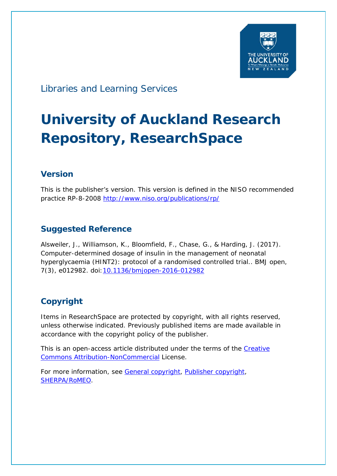

Libraries and Learning Services

# **University of Auckland Research Repository, ResearchSpace**

# **Version**

This is the publisher's version. This version is defined in the NISO recommended practice RP-8-2008<http://www.niso.org/publications/rp/>

## **Suggested Reference**

Alsweiler, J., Williamson, K., Bloomfield, F., Chase, G., & Harding, J. (2017). Computer-determined dosage of insulin in the management of neonatal hyperglycaemia (HINT2): protocol of a randomised controlled trial.. *BMJ open*, *7*(3), e012982. doi[:10.1136/bmjopen-2016-012982](http://dx.doi.org/10.1136/bmjopen-2016-012982)

# **Copyright**

Items in ResearchSpace are protected by copyright, with all rights reserved, unless otherwise indicated. Previously published items are made available in accordance with the copyright policy of the publisher.

This is an open-access article distributed under the terms of the Creative [Commons Attribution-NonCommercial](https://creativecommons.org/licenses/by-nc/4.0/) License.

For more information, see [General copyright,](http://www.library.auckland.ac.nz/services/research-support/depositing-theses/copyright) [Publisher copyright,](http://journals.bmj.com/site/authors/openaccess.xhtml) [SHERPA/RoMEO.](http://www.sherpa.ac.uk/romeo/issn/2044-6055/)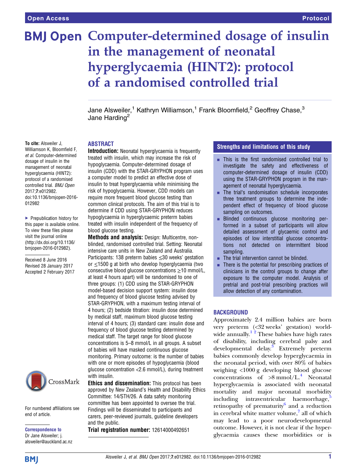# **BMJ Open Computer-determined dosage of insulin** in the management of neonatal hyperglycaemia (HINT2): protocol of a randomised controlled trial

Jane Alsweiler,<sup>1</sup> Kathryn Williamson,<sup>1</sup> Frank Bloomfield,<sup>2</sup> Geoffrey Chase,<sup>3</sup> Jane Harding<sup>2</sup>

### To cite: Alsweiler J,

Williamson K, Bloomfield F, et al. Computer-determined dosage of insulin in the management of neonatal hyperglycaemia (HINT2): protocol of a randomised controlled trial. BMJ Open 2017;7:e012982. doi:10.1136/bmjopen-2016- 012982

▶ Prepublication history for this paper is available online. To view these files please visit the journal online [\(http://dx.doi.org/10.1136/](http://dx.doi.org/10.1136/bmjopen-2016-012982) [bmjopen-2016-012982](http://dx.doi.org/10.1136/bmjopen-2016-012982)).

Received 8 June 2016 Revised 28 January 2017 Accepted 2 February 2017



For numbered affiliations see end of article.

Correspondence to Dr Jane Alsweiler; j. alsweiler@auckland.ac.nz ABSTRACT

Introduction: Neonatal hyperglycaemia is frequently treated with insulin, which may increase the risk of hypoglycaemia. Computer-determined dosage of insulin (CDD) with the STAR-GRYPHON program uses a computer model to predict an effective dose of insulin to treat hyperglycaemia while minimising the risk of hypoglycaemia. However, CDD models can require more frequent blood glucose testing than common clinical protocols. The aim of this trial is to determine if CDD using STAR-GRYPHON reduces hypoglycaemia in hyperglycaemic preterm babies treated with insulin independent of the frequency of blood glucose testing.

Methods and analysis: Design: Multicentre, nonblinded, randomised controlled trial. Setting: Neonatal intensive care units in New Zealand and Australia. Participants: 138 preterm babies ≤30 weeks' gestation or ≤1500 g at birth who develop hyperglycaemia (two consecutive blood glucose concentrations  $\geq$ 10 mmol/L, at least 4 hours apart) will be randomised to one of three groups: (1) CDD using the STAR-GRYPHON model-based decision support system: insulin dose and frequency of blood glucose testing advised by STAR-GRYPHON, with a maximum testing interval of 4 hours; (2) bedside titration: insulin dose determined by medical staff, maximum blood glucose testing interval of 4 hours; (3) standard care: insulin dose and frequency of blood glucose testing determined by medical staff. The target range for blood glucose concentrations is 5–8 mmol/L in all groups. A subset of babies will have masked continuous glucose monitoring. Primary outcome: is the number of babies with one or more episodes of hypoglycaemia (blood glucose concentration <2.6 mmol/L), during treatment with insulin.

Ethics and dissemination: This protocol has been approved by New Zealand's Health and Disability Ethics Committee: 14/STH/26. A data safety monitoring committee has been appointed to oversee the trial. Findings will be disseminated to participants and carers, peer-reviewed journals, guideline developers and the public.

Trial registration number: [12614000492651](https://www.anzctr.org.au/Trial/Registration/TrialReview.aspx?id=366176&isReview=true)

### Strengths and limitations of this study

- This is the first randomised controlled trial to investigate the safety and effectiveness of computer-determined dosage of insulin (CDD) using the STAR-GRYPHON program in the management of neonatal hyperglycaemia.
- The trial's randomisation schedule incorporates three treatment groups to determine the independent effect of frequency of blood glucose sampling on outcomes.
- Blinded continuous glucose monitoring performed in a subset of participants will allow detailed assessment of glycaemic control and episodes of low interstitial glucose concentrations not detected on intermittent blood sampling.
- $\blacksquare$  The trial intervention cannot be blinded.
- $\blacksquare$  There is the potential for prescribing practices of clinicians in the control groups to change after exposure to the computer model. Analysis of pretrial and post-trial prescribing practices will allow detection of any contamination.

### BACKGROUND

Approximately 2.4 million babies are born very preterm (<32 weeks' gestation) worldwide annually.<sup>12</sup> These babies have high rates of disability, including cerebral palsy and developmental delay.<sup>[3](#page-7-0)</sup> Extremely preterm babies commonly develop hyperglycaemia in the neonatal period, with over 80% of babies weighing <1000 g developing blood glucose concentrations of  $>8$  mmol/L.<sup>[4](#page-7-0)</sup> Neonatal hyperglycaemia is associated with neonatal mortality and major neonatal morbidity including intraventricular haemorrhage, $\frac{5}{5}$  $\frac{5}{5}$  $\frac{5}{5}$ retinopathy of prematurity $6$  and a reduction in cerebral white matter volume, $\frac{7}{1}$  $\frac{7}{1}$  $\frac{7}{1}$  all of which may lead to a poor neurodevelopmental outcome. However, it is not clear if the hyperglycaemia causes these morbidities or is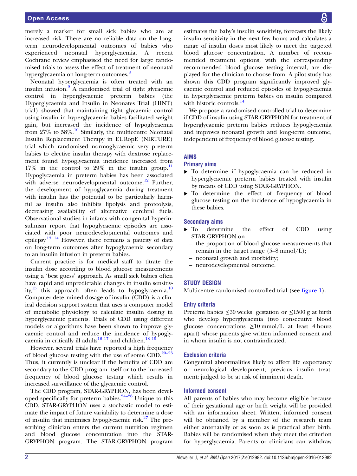merely a marker for small sick babies who are at increased risk. There are no reliable data on the longterm neurodevelopmental outcomes of babies who experienced neonatal hyperglycaemia. A recent Cochrane review emphasised the need for large randomised trials to assess the effect of treatment of neonatal hyperglycaemia on long-term outcomes.<sup>[8](#page-7-0)</sup>

Neonatal hyperglycaemia is often treated with an insulin infusion.[9](#page-7-0) A randomised trial of tight glycaemic control in hyperglycaemic preterm babies (the Hyperglycaemia and Insulin in Neonates Trial (HINT) trial) showed that maintaining tight glycaemic control using insulin in hyperglycaemic babies facilitated weight gain, but increased the incidence of hypoglycaemia from  $27\%$  to  $58\%$ .<sup>[10](#page-7-0)</sup> Similarly, the multicentre Neonatal Insulin Replacement Therapy in EURopE (NIRTURE) trial which randomised normoglycaemic very preterm babies to elective insulin therapy with dextrose replacement found hypoglycaemia incidence increased from 17% in the control to 29% in the insulin group.<sup>[11](#page-7-0)</sup> Hypoglycaemia in preterm babies has been associated with adverse neurodevelopmental outcome.<sup>12</sup> Further, the development of hypoglycaemia during treatment with insulin has the potential to be particularly harmful as insulin also inhibits lipolysis and proteolysis, decreasing availability of alternative cerebral fuels. Observational studies in infants with congenital hyperinsulinism report that hypoglycaemic episodes are associated with poor neurodevelopmental outcomes and epilepsy.<sup>13</sup> <sup>14</sup> However, there remains a paucity of data on long-term outcomes after hypoglycaemia secondary to an insulin infusion in preterm babies.

Current practice is for medical staff to titrate the insulin dose according to blood glucose measurements using a 'best guess' approach. As small sick babies often have rapid and unpredictable changes in insulin sensitivity, $15$  this approach often leads to hypoglycaemia.<sup>[10](#page-7-0)</sup> Computer-determined dosage of insulin (CDD) is a clinical decision support system that uses a computer model of metabolic physiology to calculate insulin dosing in hyperglycaemic patients. Trials of CDD using different models or algorithms have been shown to improve glycaemic control and reduce the incidence of hypogly-caemia in critically ill adults<sup>[16 17](#page-7-0)</sup> and children.<sup>18 [19](#page-8-0)</sup>

However, several trials have reported a high frequency of blood glucose testing with the use of some CDD. $20-23$  $20-23$ Thus, it currently is unclear if the benefits of CDD are secondary to the CDD program itself or to the increased frequency of blood glucose testing which results in increased surveillance of the glycaemic control.

The CDD program, STAR-GRYPHON, has been developed specifically for preterm babies.[24](#page-8-0)–<sup>26</sup> Unique to this CDD, STAR-GRYPHON uses a stochastic model to estimate the impact of future variability to determine a dose of insulin that minimises hypoglycaemic risk.<sup>[27](#page-8-0)</sup> The prescribing clinician enters the current nutrition regimen and blood glucose concentration into the STAR-GRYPHON program. The STAR-GRYPHON program

estimates the baby's insulin sensitivity, forecasts the likely insulin sensitivity in the next few hours and calculates a range of insulin doses most likely to meet the targeted blood glucose concentration. A number of recommended treatment options, with the corresponding recommended blood glucose testing interval, are displayed for the clinician to choose from. A pilot study has shown this CDD program significantly improved glycaemic control and reduced episodes of hypoglycaemia in hyperglycaemic preterm babies on insulin compared with historic controls.<sup>[14](#page-7-0)</sup>

We propose a randomised controlled trial to determine if CDD of insulin using STAR-GRYPHON for treatment of hyperglycaemic preterm babies reduces hypoglycaemia and improves neonatal growth and long-term outcome, independent of frequency of blood glucose testing.

### AIMS

### Primary aims

- ▸ To determine if hypoglycaemia can be reduced in hyperglycaemic preterm babies treated with insulin by means of CDD using STAR-GRYPHON.
- ▸ To determine the effect of frequency of blood glucose testing on the incidence of hypoglycaemia in these babies.

### Secondary aims

- ▸ To determine the effect of CDD using STAR-GRYPHON on
	- the proportion of blood glucose measurements that remain in the target range  $(5-8 \text{ mmol/L})$ ;
	- neonatal growth and morbidity;
	- neurodevelopmental outcome.

### STUDY DESIGN

Multicentre randomised controlled trial (see fi[gure 1](#page-3-0)).

### Entry criteria

Preterm babies ≤30 weeks' gestation or ≤1500 g at birth who develop hyperglycaemia (two consecutive blood glucose concentrations  $\geq 10$  mmol/L at least 4 hours apart) whose parents give written informed consent and in whom insulin is not contraindicated.

### Exclusion criteria

Congenital abnormalities likely to affect life expectancy or neurological development; previous insulin treatment; judged to be at risk of imminent death.

### Informed consent

All parents of babies who may become eligible because of their gestational age or birth weight will be provided with an information sheet. Written, informed consent will be obtained by a member of the research team either antenatally or as soon as is practical after birth. Babies will be randomised when they meet the criterion for hyperglycaemia. Parents or clinicians can withdraw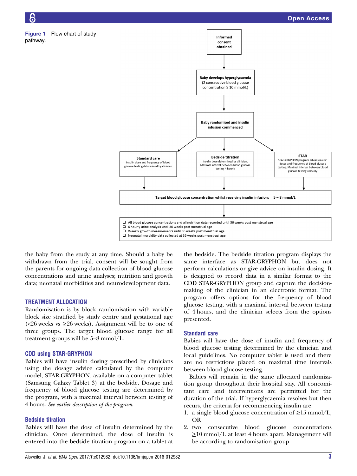<span id="page-3-0"></span>

 $\Box$  All blood glucose concentrations and all nutrition data recorded until 36 weeks post menstrual age 6 hourly urine analysis until 30 weeks post menstrual age  $\Box$  $\Box$  Weekly growth measurements until 36 weeks post menstrual age  $\Box$ Neonatal morbidity data collected at 36 weeks post menstrual age

the baby from the study at any time. Should a baby be withdrawn from the trial, consent will be sought from the parents for ongoing data collection of blood glucose concentrations and urine analyses; nutrition and growth data; neonatal morbidities and neurodevelopment data.

### TREATMENT ALLOCATION

pathway.

Randomisation is by block randomisation with variable block size stratified by study centre and gestational age (<26 weeks vs  $\geq$ 26 weeks). Assignment will be to one of three groups. The target blood glucose range for all treatment groups will be 5–8 mmol/L.

### CDD using STAR-GRYPHON

Babies will have insulin dosing prescribed by clinicians using the dosage advice calculated by the computer model, STAR-GRYPHON, available on a computer tablet (Samsung Galaxy Tablet 3) at the bedside. Dosage and frequency of blood glucose testing are determined by the program, with a maximal interval between testing of 4 hours. See earlier description of the program.

### Bedside titration

Babies will have the dose of insulin determined by the clinician. Once determined, the dose of insulin is entered into the bedside titration program on a tablet at

the bedside. The bedside titration program displays the same interface as STAR-GRYPHON but does not perform calculations or give advice on insulin dosing. It is designed to record data in a similar format to the CDD STAR-GRYPHON group and capture the decisionmaking of the clinician in an electronic format. The program offers options for the frequency of blood glucose testing, with a maximal interval between testing of 4 hours, and the clinician selects from the options presented.

### Standard care

Babies will have the dose of insulin and frequency of blood glucose testing determined by the clinician and local guidelines. No computer tablet is used and there are no restrictions placed on maximal time intervals between blood glucose testing.

Babies will remain in the same allocated randomisation group throughout their hospital stay. All concomitant care and interventions are permitted for the duration of the trial. If hyperglycaemia resolves but then recurs, the criteria for recommencing insulin are:

- 1. a single blood glucose concentration of  $\geq$ 15 mmol/L, OR
- 2. two consecutive blood glucose concentrations  $\geq$ 10 mmol/L at least 4 hours apart. Management will be according to randomisation group.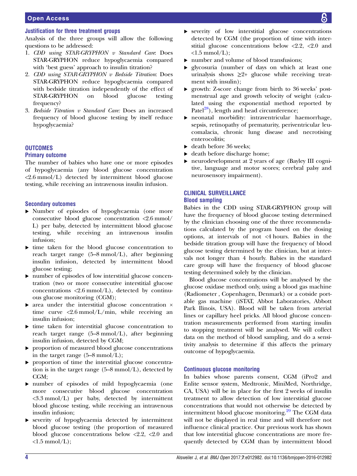# Open Access

### Justification for three treatment groups

Analysis of the three groups will allow the following questions to be addressed:

- 1. CDD using STAR-GRYPHON v Standard Care: Does STAR-GRYPHON reduce hypoglycaemia compared with 'best guess' approach to insulin titration?
- 2. CDD using STAR-GRYPHON v Bedside Titration: Does STAR-GRYPHON reduce hypoglycaemia compared with bedside titration independently of the effect of STAR-GRYPHON on blood glucose testing frequency?
- 3. Bedside Titration v Standard Care: Does an increased frequency of blood glucose testing by itself reduce hypoglycaemia?

### **OUTCOMES**

### Primary outcome

The number of babies who have one or more episodes of hypoglycaemia (any blood glucose concentration  $\langle 2.6 \text{ mmol/L} \rangle$  detected by intermittent blood glucose testing, while receiving an intravenous insulin infusion.

### Secondary outcomes

- ▸ Number of episodes of hypoglycaemia (one more consecutive blood glucose concentration <2.6 mmol/ L) per baby, detected by intermittent blood glucose testing, while receiving an intravenous insulin infusion;
- ▸ time taken for the blood glucose concentration to reach target range (5–8 mmol/L), after beginning insulin infusion, detected by intermittent blood glucose testing;
- ▸ number of episodes of low interstitial glucose concentration (two or more consecutive interstitial glucose concentrations  $\langle 2.6 \text{ mmol/L} \rangle$ , detected by continuous glucose monitoring (CGM);
- $\triangleright$  area under the interstitial glucose concentration  $\times$ time curve  $\langle 2.6 \text{ mmol/L/min}$ , while receiving an insulin infusion;
- ▸ time taken for interstitial glucose concentration to reach target range (5–8 mmol/L), after beginning insulin infusion, detected by CGM;
- ▸ proportion of measured blood glucose concentrations in the target range  $(5-8 \text{ mmol/L});$
- ▸ proportion of time the interstitial glucose concentration is in the target range  $(5-8 \text{ mmol/L})$ , detected by CGM;
- ▸ number of episodes of mild hypoglycaemia (one more consecutive blood glucose concentration <3.3 mmol/L) per baby, detected by intermittent blood glucose testing, while receiving an intravenous insulin infusion;
- ▸ severity of hypoglycaemia detected by intermittent blood glucose testing (the proportion of measured blood glucose concentrations below <2.2, <2.0 and  $<1.5$  mmol/L);
- ▸ severity of low interstitial glucose concentrations detected by CGM (the proportion of time with interstitial glucose concentrations below <2.2, <2.0 and  $\langle 1.5 \text{ mmol/L} \rangle$ ;
- ▸ number and volume of blood transfusions;
- ▸ glycosuria (number of days on which at least one urinalysis shows  $\geq 2+$  glucose while receiving treatment with insulin);
- ▸ growth: Z-score change from birth to 36 weeks' postmenstrual age and growth velocity of weight (calculated using the exponential method reported by Patel<sup>[28](#page-8-0)</sup>), length and head circumference;
- ▸ neonatal morbidity: intraventricular haemorrhage, sepsis, retinopathy of prematurity, periventricular leucomalacia, chronic lung disease and necrotising enterocolitis;
- ▸ death before 36 weeks;
- death before discharge home;
- ▸ neurodevelopment at 2 years of age (Bayley III cognitive, language and motor scores; cerebral palsy and neurosensory impairment).

### CLINICAL SURVEILLANCE

### Blood sampling

Babies in the CDD using STAR-GRYPHON group will have the frequency of blood glucose testing determined by the clinician choosing one of the three recommendations calculated by the program based on the dosing options, at intervals of not <4 hours. Babies in the bedside titration group will have the frequency of blood glucose testing determined by the clinician, but at intervals not longer than 4 hourly. Babies in the standard care group will have the frequency of blood glucose testing determined solely by the clinician.

Blood glucose concentrations will be analysed by the glucose oxidase method only, using a blood gas machine (Radiometer , Copenhagen, Denmark) or a cotside portable gas machine (iSTAT, Abbot Laboratories, Abbott Park Ilinois, USA). Blood will be taken from arterial lines or capillary heel pricks. All blood glucose concentration measurements performed from starting insulin to stopping treatment will be analysed. We will collect data on the method of blood sampling, and do a sensitivity analysis to determine if this affects the primary outcome of hypoglycaemia.

### Continuous glucose monitoring

In babies whose parents consent, CGM (iPro2 and Enlite sensor system, Medtronic, MiniMed, Northridge, CA, USA) will be in place for the first 2 weeks of insulin treatment to allow detection of low interstitial glucose concentrations that would not otherwise be detected by intermittent blood glucose monitoring.<sup>[29](#page-8-0)</sup> The CGM data will not be displayed in real time and will therefore not influence clinical practice. Our previous work has shown that low interstitial glucose concentrations are more frequently detected by CGM than by intermittent blood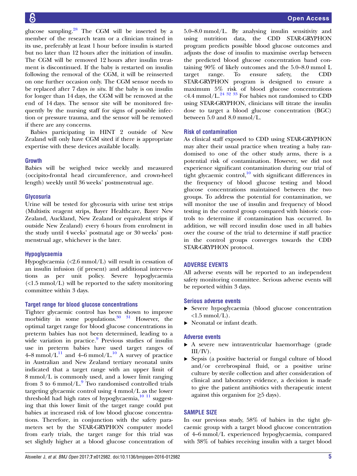glucose sampling.[28](#page-8-0) The CGM will be inserted by a member of the research team or a clinician trained in its use, preferably at least 1 hour before insulin is started but no later than 12 hours after the initiation of insulin. The CGM will be removed 12 hours after insulin treatment is discontinued. If the baby is restarted on insulin following the removal of the CGM, it will be reinserted on one further occasion only. The CGM sensor needs to be replaced after 7 days in situ. If the baby is on insulin for longer than 14 days, the CGM will be removed at the end of 14 days. The sensor site will be monitored frequently by the nursing staff for signs of possible infection or pressure trauma, and the sensor will be removed if there are any concerns.

Babies participating in HINT 2 outside of New Zealand will only have CGM sited if there is appropriate expertise with these devices available locally.

### **Growth**

Babies will be weighed twice weekly and measured (occipito-frontal head circumference, and crown-heel length) weekly until 36 weeks' postmenstrual age.

### Glycosuria

Urine will be tested for glycosuria with urine test strips (Multistix reagent strips, Bayer Healthcare, Bayer New Zealand, Auckland, New Zealand or equivalent strips if outside New Zealand) every 6 hours from enrolment in the study until 4 weeks' postnatal age or 30 weeks' postmenstrual age, whichever is the later.

### Hypoglycaemia

Hypoglycaemia  $\langle 2.6 \text{ mmol/L} \rangle$  will result in cessation of an insulin infusion (if present) and additional interventions as per unit policy. Severe hypoglycaemia (<1.5 mmol/L) will be reported to the safety monitoring committee within 3 days.

### Target range for blood glucose concentrations

Tighter glycaemic control has been shown to improve morbidity in some populations. $30^{31}$  However, the optimal target range for blood glucose concentrations in preterm babies has not been determined, leading to a wide variation in practice.<sup>[9](#page-7-0)</sup> Previous studies of insulin use in preterm babies have used target ranges of  $4-8$  mmol/L<sup>[11](#page-7-0)</sup> and  $4-6$  mmol/L<sup>[10](#page-7-0)</sup> A survey of practice in Australian and New Zealand tertiary neonatal units indicated that a target range with an upper limit of 8 mmol/L is commonly used, and a lower limit ranging from 3 to 6 mmol/L. $9$  Two randomised controlled trials targeting glycaemic control using 4 mmol/L as the lower threshold had high rates of hypoglycaemia, $10^{-11}$  suggesting that this lower limit of the target range could put babies at increased risk of low blood glucose concentrations. Therefore, in conjunction with the safety parameters set by the STAR-GRYPHON computer model from early trials, the target range for this trial was set slightly higher at a blood glucose concentration of 5.0–8.0 mmol/L. By analysing insulin sensitivity and using nutrition data, the CDD STAR-GRYPHON program predicts possible blood glucose outcomes and adjusts the dose of insulin to maximise overlap between the predicted blood glucose concentration band containing 90% of likely outcomes and the 5.0–8.0 mmol L target range. To ensure safety, the CDD STAR-GRYPHON program is designed to ensure a maximum 5% risk of blood glucose concentrations <4.4 mmol/L. $^{24}$   $^{32}$   $^{33}$  For babies not randomised to CDD using STAR-GRYPHON, clinicians will titrate the insulin dose to target a blood glucose concentration (BGC) between 5.0 and 8.0 mmol/L.

### Risk of contamination

As clinical staff exposed to CDD using STAR-GRYPHON may alter their usual practice when treating a baby randomised to one of the other study arms, there is a potential risk of contamination. However, we did not experience significant contamination during our trial of tight glycaemic control, $^{10}$  $^{10}$  $^{10}$  with significant differences in the frequency of blood glucose testing and blood glucose concentrations maintained between the two groups. To address the potential for contamination, we will monitor the use of insulin and frequency of blood testing in the control group compared with historic controls to determine if contamination has occurred. In addition, we will record insulin dose used in all babies over the course of the trial to determine if staff practice in the control groups converges towards the CDD STAR-GRYPHON protocol.

### ADVERSE EVENTS

All adverse events will be reported to an independent safety monitoring committee. Serious adverse events will be reported within 3 days.

### Serious adverse events

- ▸ Severe hypoglycaemia (blood glucose concentration  $\langle 1.5 \text{ mmol/L} \rangle$ .
- ▸ Neonatal or infant death.

### Adverse events

- ▸ A severe new intraventricular haemorrhage (grade  $III/IV$ ).
- ▸ Sepsis (a positive bacterial or fungal culture of blood and/or cerebrospinal fluid, or a positive urine culture by sterile collection and after consideration of clinical and laboratory evidence, a decision is made to give the patient antibiotics with therapeutic intent against this organism for  $\geq$ 5 days).

### SAMPLE SIZE

In our previous study, 58% of babies in the tight glycaemic group with a target blood glucose concentration of 4–6 mmol/L experienced hypoglycaemia, compared with 38% of babies receiving insulin with a target blood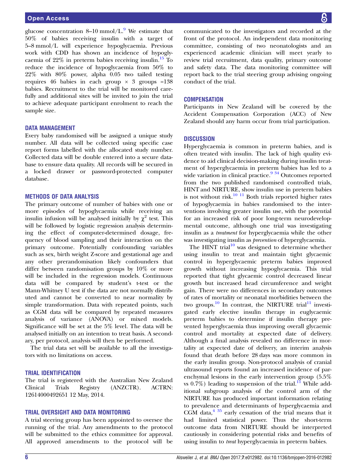glucose concentration 8–10 mmol/L. $9$  We estimate that 50% of babies receiving insulin with a target of 5–8 mmol/L will experience hypoglycaemia. Previous work with CDD has shown an incidence of hypoglycaemia of 22% in preterm babies receiving insulin.[15](#page-7-0) To reduce the incidence of hypoglycaemia from 50% to 22% with 80% power, alpha 0.05 two tailed testing requires 46 babies in each group  $\times$  3 groups =138 babies. Recruitment to the trial will be monitored carefully and additional sites will be invited to join the trial to achieve adequate participant enrolment to reach the sample size.

### DATA MANAGEMENT

Every baby randomised will be assigned a unique study number. All data will be collected using specific case report forms labelled with the allocated study number. Collected data will be double entered into a secure database to ensure data quality. All records will be secured in a locked drawer or password-protected computer database.

### METHODS OF DATA ANALYSIS

The primary outcome of number of babies with one or more episodes of hypoglycaemia while receiving an insulin infusion will be analysed initially by  $\chi^2$  test. This will be followed by logistic regression analysis determining the effect of computer-determined dosage, frequency of blood sampling and their interaction on the primary outcome. Potentially confounding variables such as sex, birth weight Z-score and gestational age and any other prerandomisation likely confounders that differ between randomisation groups by 10% or more will be included in the regression models. Continuous data will be compared by student's t-test or the Mann-Whitney U test if the data are not normally distributed and cannot be converted to near normality by simple transformation. Data with repeated points, such as CGM data will be compared by repeated measures analysis of variance (ANOVA) or mixed models. Significance will be set at the 5% level. The data will be analysed initially on an intention to treat basis. A secondary, per protocol, analysis will then be performed.

The trial data set will be available to all the investigators with no limitations on access.

### TRIAL IDENTIFICATION

The trial is registered with the Australian New Zealand Clinical Trials Registry (ANZCTR). ACTRN: 12614000492651 12 May, 2014.

### TRIAL OVERSIGHT AND DATA MONITORING

A trial steering group has been appointed to oversee the running of the trial. Any amendments to the protocol will be submitted to the ethics committee for approval. All approved amendments to the protocol will be

communicated to the investigators and recorded at the front of the protocol. An independent data monitoring committee, consisting of two neonatologists and an experienced academic clinician will meet yearly to review trial recruitment, data quality, primary outcome and safety data. The data monitoring committee will report back to the trial steering group advising ongoing conduct of the trial.

### **COMPENSATION**

Participants in New Zealand will be covered by the Accident Compensation Corporation (ACC) of New Zealand should any harm occur from trial participation.

### **DISCUSSION**

Hyperglycaemia is common in preterm babies, and is often treated with insulin. The lack of high quality evidence to aid clinical decision-making during insulin treatment of hyperglycaemia in preterm babies has led to a wide variation in clinical practice.<sup>[9](#page-7-0)</sup> <sup>34</sup> Outcomes reported from the two published randomised controlled trials, HINT and NIRTURE, show insulin use in preterm babies is not without risk. $10^{11}$  Both trials reported higher rates of hypoglycaemia in babies randomised to the interventions involving greater insulin use, with the potential for an increased risk of poor long-term neurodevelopmental outcome, although one trial was investigating insulin as a *treatment* for hyperglycaemia while the other was investigating insulin as prevention of hyperglycaemia.

The HINT trial<sup>[10](#page-7-0)</sup> was designed to determine whether using insulin to treat and maintain tight glycaemic control in hyperglycaemic preterm babies improved growth without increasing hypoglycaemia. This trial reported that tight glycaemic control decreased linear growth but increased head circumference and weight gain. There were no differences in secondary outcomes of rates of mortality or neonatal morbidities between the two groups.<sup>[10](#page-7-0)</sup> In contrast, the NIRTURE trial<sup>[11](#page-7-0)</sup> investigated early elective insulin therapy in euglycaemic preterm babies to determine if insulin therapy prevented hyperglycaemia thus improving overall glycaemic control and mortality at expected date of delivery. Although a final analysis revealed no difference in mortality at expected date of delivery, an interim analysis found that death before 28 days was more common in the early insulin group. Non-protocol analysis of cranial ultrasound reports found an increased incidence of parenchymal lesions in the early intervention group (5.5% vs  $0.7\%$ ) leading to suspension of the trial.<sup>[11](#page-7-0)</sup> While additional subgroup analysis of the control arm of the NIRTURE has produced important information relating to prevalence and determinants of hyperglycaemia and CGM data, $4\frac{35}{2}$  $4\frac{35}{2}$  early cessation of the trial means that it had limited statistical power. Thus the short-term outcome data from NIRTURE should be interpreted cautiously in considering potential risks and benefits of using insulin to treat hyperglycaemia in preterm babies.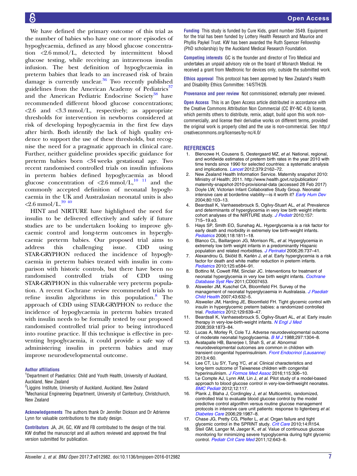<span id="page-7-0"></span>We have defined the primary outcome of this trial as the number of babies who have one or more episodes of hypoglycaemia, defined as any blood glucose concentration <2.6 mmol/L, detected by intermittent blood glucose testing, while receiving an intravenous insulin infusion. The best definition of hypoglycaemia in preterm babies that leads to an increased risk of brain damage is currently unclear.<sup>[36](#page-8-0)</sup> Two recently published guidelines from the American Academy of Pediatrics<sup>[37](#page-8-0)</sup> and the American Pediatric Endocrine Society<sup>[38](#page-8-0)</sup> have recommended different blood glucose concentrations;  $\langle 2.6 \text{ and } \langle 3.3 \text{ mmol/L}, \text{ respectively};$  as appropriate thresholds for intervention in newborns considered at risk of developing hypoglycaemia in the first few days after birth. Both identify the lack of high quality evidence to support the use of these thresholds, but recognise the need for a pragmatic approach in clinical care. Further, neither guideline provides specific guidance for preterm babies born <34 weeks gestational age. Two recent randomised controlled trials on insulin infusions in preterm babies defined hypoglycaemia as blood glucose concentration of  $\langle 2.6 \text{ mmol/L},^{10} \rangle$  and the commonly accepted definition of neonatal hypoglycaemia in the UK and Australasian neonatal units is also  $<$ 2.6 mmol/L. $^{39}$   $^{40}$ 

HINT and NIRTURE have highlighted the need for insulin to be delivered effectively and safely if future studies are to be undertaken looking to improve glycaemic control and long-term outcomes in hyperglycaemic preterm babies. Our proposed trial aims to address this challenging issue. CDD using STAR-GRYPHON reduced the incidence of hypoglycaemia in preterm babies treated with insulin in comparison with historic controls, but there have been no randomised controlled trials of CDD using STAR-GRYPHON in this vulnerable very preterm population. A recent Cochrane review recommended trials to refine insulin algorithms in this population. $8$  The approach of CDD using STAR-GRYPHON to reduce the incidence of hypoglycaemia in preterm babies treated with insulin needs to be formally tested by our proposed randomised controlled trial prior to being introduced into routine practice. If this technique is effective in preventing hypoglycaemia, it could provide a safe way of administering insulin in preterm babies and may improve neurodevelopmental outcome.

#### Author affiliations

<sup>1</sup>Department of Paediatrics: Child and Youth Health, University of Auckland, Auckland, New Zealand

<sup>2</sup> Liggins Institute, University of Auckland, Auckland, New Zealand

<sup>3</sup>Mechanical Engineering Department, University of Canterbury, Christchurch, New Zealand

Acknowledgements The authors thank Dr Jennifer Dickson and Dr Adrienne Lynn for valuable contributions to the study design.

Contributors JA, JH, GC, KW and FB contributed to the design of the trial. KW drafted the manuscript and all authors reviewed and approved the final version submitted for publication.

Funding This study is funded by Cure Kids, grant number 3549. Equipment for the trial has been funded by Lottery Health Research and Maurice and Phyllis Paykel Trust. KW has been awarded the Ruth Spencer Fellowship (PhD scholarship) by the Auckland Medical Research Foundation.

Competing interests GC is the founder and director of Tiro Medical and undertakes an unpaid advisory role on the board of Monarch Medical. He received a grant from Medtronic for devices only, outside the submitted work.

Ethics approval This protocol has been approved by New Zealand's Health and Disability Ethics Committee: 14/STH/26.

Provenance and peer review Not commissioned; externally peer reviewed.

**Open Access** This is an Open Access article distributed in accordance with the Creative Commons Attribution Non Commercial (CC BY-NC 4.0) license, which permits others to distribute, remix, adapt, build upon this work noncommercially, and license their derivative works on different terms, provided the original work is properly cited and the use is non-commercial. See: [http://](http://creativecommons.org/licenses/by-nc/4.0/) [creativecommons.org/licenses/by-nc/4.0/](http://creativecommons.org/licenses/by-nc/4.0/)

#### **REFERENCES**

- 1. Blencowe H, Cousens S, Oestergaard MZ, et al. National, regional, and worldwide estimates of preterm birth rates in the year 2010 with time trends since 1990 for selected countries: a systematic analysis and implications. [Lancet](http://dx.doi.org/10.1016/S0140-6736(12)60820-4) 2012;379:2162-72.
- 2. New Zealand Health Information Service. Maternity snapshot 2010: Ministry of Health; 2011. [http://www.health.govt.nz/publication/](http://www.health.govt.nz/publication/maternity-snapshot-2010-provisional-data) [maternity-snapshot-2010-provisional-data](http://www.health.govt.nz/publication/maternity-snapshot-2010-provisional-data) (accessed 28 Feb 2017)
- 3. Doyle LW, Victorian Infant Collaborative Study Group. Neonatal intensive care at borderline viability-is it worth it? [Early Hum Dev](http://dx.doi.org/10.1016/j.earlhumdev.2004.05.009) 2004;80:103–13.
- 4. Beardsall K, Vanhaesebrouck S, Ogilvy-Stuart AL, et al. Prevalence and determinants of hyperglycemia in very low birth weight infants: cohort analyses of the NIRTURE study. [J Pediatr](http://dx.doi.org/10.1016/j.jpeds.2010.04.032) 2010;157: 715–19.e3.
- 5. Hays SP, Smith EO, Sunehag AL. Hyperglycemia is a risk factor for early death and morbidity in extremely low birth-weight infants. [Pediatrics](http://dx.doi.org/10.1542/peds.2006-0628) 2006;118:1811–18.
- 6. Blanco CL, Baillargeon JG, Morrison RL, et al. Hyperglycemia in extremely low birth weight infants in a predominantly Hispanic population and related morbidities. [J Perinatol](http://dx.doi.org/10.1038/sj.jp.7211594) 2006;26:737-41.
- 7. Alexandrou G, Skiöld B, Karlén J, et al. Early hyperglycemia is a risk factor for death and white matter reduction in preterm infants. [Pediatrics](http://dx.doi.org/10.1542/peds.2009-0449) 2010;125:e584–91.
- 8. Bottino M, Cowett RM, Sinclair JC. Interventions for treatment of neonatal hyperglycemia in very low birth weight infants. [Cochrane](http://dx.doi.org/10.1002/14651858.CD007453.pub3) [Database Syst Rev](http://dx.doi.org/10.1002/14651858.CD007453.pub3) 2011;CD007453.
- 9. Alsweiler JM, Kuschel CA, Bloomfield FH. Survey of the management of neonatal hyperglycaemia in Australasia. [J Paediatr](http://dx.doi.org/10.1111/j.1440-1754.2007.01158.x) [Child Health](http://dx.doi.org/10.1111/j.1440-1754.2007.01158.x) 2007;43:632–5.
- 10. Alsweiler JM, Harding JE, Bloomfield FH. Tight glycemic control with insulin in hyperglycemic preterm babies: a randomized controlled trial. [Pediatrics](http://dx.doi.org/10.1542/peds.2011-2470) 2012;129:639–47.
- 11. Beardsall K, Vanhaesebrouck S, Ogilvy-Stuart AL, et al. Early insulin therapy in very-low-birth-weight infants. [N Engl J Med](http://dx.doi.org/10.1056/NEJMoa0803725) 2008;359:1873–84.
- 12. Lucas A, Morley R, Cole TJ. Adverse neurodevelopmental outcome of moderate neonatal hypoglycaemia. B M J 1988;297:1304-8.
- Avatapalle HB, Banerjee I, Shah S, et al. Abnormal neurodevelopmental outcomes are common in children with transient congenital hyperinsulinism. [Front Endocrinol \(Lausanne\)](http://dx.doi.org/10.3389/fendo.2013.00060) 2013;4:60.
- 14. Lee CT, Liu SY, Tung YC, et al. Clinical characteristics and long-term outcome of Taiwanese children with congenital hyperinsulinism. [J Formos Med Assoc](http://dx.doi.org/10.1016/j.jfma.2015.04.002) 2016:115:306-10.
- 15. Le Compte AJ, Lynn AM, Lin J, et al. Pilot study of a model-based approach to blood glucose control in very-low-birthweight neonates. [BMC Pediatr](http://dx.doi.org/10.1186/1471-2431-12-117) 2012;12:117.
- 16. Plank J, Blaha J, Cordingley J, et al. Multicentric, randomized, controlled trial to evaluate blood glucose control by the model predictive control algorithm versus routine glucose management protocols in intensive care unit patients: response to ligtenberg et al. [Diabetes Care](http://dx.doi.org/10.2337/dc06-0838) 2006;29:1987–8.
- 17. Chase JG, Pretty CG, Pfeifer L, et al. Organ failure and tight glycemic control in the SPRINT study. [Crit Care](http://dx.doi.org/10.1186/cc9224) 2010;14:R154.
- 18. Steil GM, Langer M, Jaeger K, et al. Value of continuous glucose monitoring for minimizing severe hypoglycemia during tight glycemic control. [Pediatr Crit Care Med](http://dx.doi.org/10.1097/PCC.0b013e31821926a5) 2011;12:643-8.